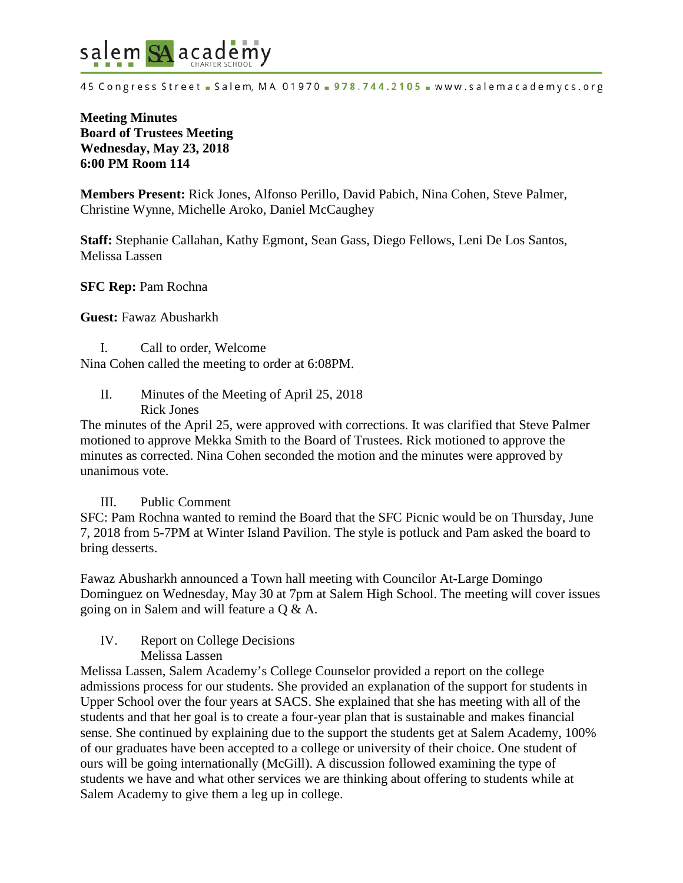

45 Congress Street - Salem, MA 01970 - 978.744.2105 - www.salemacademycs.org

# **Meeting Minutes Board of Trustees Meeting Wednesday, May 23, 2018 6:00 PM Room 114**

**Members Present:** Rick Jones, Alfonso Perillo, David Pabich, Nina Cohen, Steve Palmer, Christine Wynne, Michelle Aroko, Daniel McCaughey

**Staff:** Stephanie Callahan, Kathy Egmont, Sean Gass, Diego Fellows, Leni De Los Santos, Melissa Lassen

**SFC Rep:** Pam Rochna

**Guest:** Fawaz Abusharkh

I. Call to order, Welcome Nina Cohen called the meeting to order at 6:08PM.

II. Minutes of the Meeting of April 25, 2018 Rick Jones

The minutes of the April 25, were approved with corrections. It was clarified that Steve Palmer motioned to approve Mekka Smith to the Board of Trustees. Rick motioned to approve the minutes as corrected. Nina Cohen seconded the motion and the minutes were approved by unanimous vote.

### III. Public Comment

SFC: Pam Rochna wanted to remind the Board that the SFC Picnic would be on Thursday, June 7, 2018 from 5-7PM at Winter Island Pavilion. The style is potluck and Pam asked the board to bring desserts.

Fawaz Abusharkh announced a Town hall meeting with Councilor At-Large Domingo Dominguez on Wednesday, May 30 at 7pm at Salem High School. The meeting will cover issues going on in Salem and will feature a Q & A.

#### IV. Report on College Decisions Melissa Lassen

Melissa Lassen, Salem Academy's College Counselor provided a report on the college admissions process for our students. She provided an explanation of the support for students in Upper School over the four years at SACS. She explained that she has meeting with all of the students and that her goal is to create a four-year plan that is sustainable and makes financial sense. She continued by explaining due to the support the students get at Salem Academy, 100% of our graduates have been accepted to a college or university of their choice. One student of ours will be going internationally (McGill). A discussion followed examining the type of students we have and what other services we are thinking about offering to students while at Salem Academy to give them a leg up in college.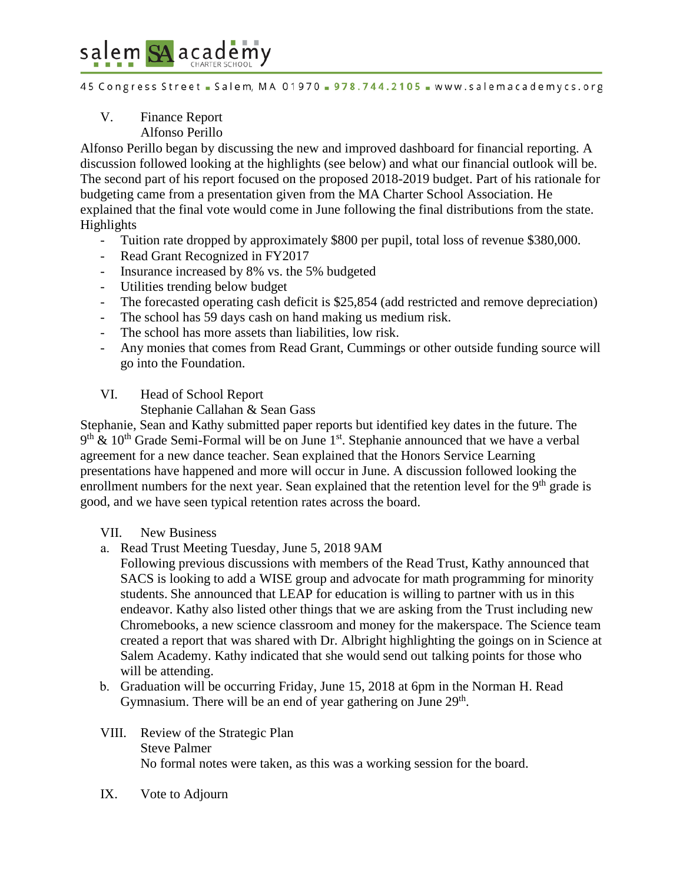# salem SA academy

45 Congress Street - Salem, MA 01970 - 978.744.2105 - www.salemacademycs.org

### V. Finance Report Alfonso Perillo

Alfonso Perillo began by discussing the new and improved dashboard for financial reporting. A discussion followed looking at the highlights (see below) and what our financial outlook will be. The second part of his report focused on the proposed 2018-2019 budget. Part of his rationale for budgeting came from a presentation given from the MA Charter School Association. He explained that the final vote would come in June following the final distributions from the state. Highlights

- Tuition rate dropped by approximately \$800 per pupil, total loss of revenue \$380,000.
- Read Grant Recognized in FY2017
- Insurance increased by 8% vs. the 5% budgeted
- Utilities trending below budget
- The forecasted operating cash deficit is \$25,854 (add restricted and remove depreciation)
- The school has 59 days cash on hand making us medium risk.
- The school has more assets than liabilities, low risk.
- Any monies that comes from Read Grant, Cummings or other outside funding source will go into the Foundation.

### VI. Head of School Report

Stephanie Callahan & Sean Gass

Stephanie, Sean and Kathy submitted paper reports but identified key dates in the future. The  $9<sup>th</sup>$  & 10<sup>th</sup> Grade Semi-Formal will be on June 1<sup>st</sup>. Stephanie announced that we have a verbal agreement for a new dance teacher. Sean explained that the Honors Service Learning presentations have happened and more will occur in June. A discussion followed looking the enrollment numbers for the next year. Sean explained that the retention level for the 9<sup>th</sup> grade is good, and we have seen typical retention rates across the board.

# VII. New Business

a. Read Trust Meeting Tuesday, June 5, 2018 9AM

Following previous discussions with members of the Read Trust, Kathy announced that SACS is looking to add a WISE group and advocate for math programming for minority students. She announced that LEAP for education is willing to partner with us in this endeavor. Kathy also listed other things that we are asking from the Trust including new Chromebooks, a new science classroom and money for the makerspace. The Science team created a report that was shared with Dr. Albright highlighting the goings on in Science at Salem Academy. Kathy indicated that she would send out talking points for those who will be attending.

- b. Graduation will be occurring Friday, June 15, 2018 at 6pm in the Norman H. Read Gymnasium. There will be an end of year gathering on June  $29<sup>th</sup>$ .
- VIII. Review of the Strategic Plan Steve Palmer No formal notes were taken, as this was a working session for the board.
- IX. Vote to Adjourn